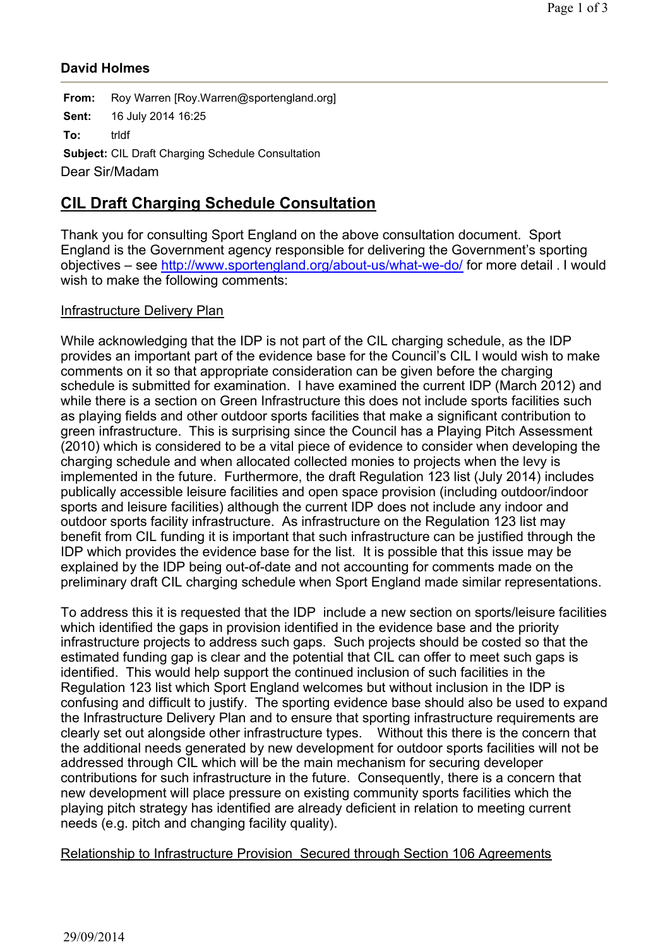## **David Holmes**

**From:** Roy Warren [Roy.Warren@sportengland.org] **Sent:** 16 July 2014 16:25 **To:** trldf **Subject:** CIL Draft Charging Schedule Consultation Dear Sir/Madam

# **CIL Draft Charging Schedule Consultation**

Thank you for consulting Sport England on the above consultation document. Sport England is the Government agency responsible for delivering the Government's sporting objectives – see http://www.sportengland.org/about-us/what-we-do/ for more detail . I would wish to make the following comments:

## Infrastructure Delivery Plan

While acknowledging that the IDP is not part of the CIL charging schedule, as the IDP provides an important part of the evidence base for the Council's CIL I would wish to make comments on it so that appropriate consideration can be given before the charging schedule is submitted for examination. I have examined the current IDP (March 2012) and while there is a section on Green Infrastructure this does not include sports facilities such as playing fields and other outdoor sports facilities that make a significant contribution to green infrastructure. This is surprising since the Council has a Playing Pitch Assessment (2010) which is considered to be a vital piece of evidence to consider when developing the charging schedule and when allocated collected monies to projects when the levy is implemented in the future. Furthermore, the draft Regulation 123 list (July 2014) includes publically accessible leisure facilities and open space provision (including outdoor/indoor sports and leisure facilities) although the current IDP does not include any indoor and outdoor sports facility infrastructure. As infrastructure on the Regulation 123 list may benefit from CIL funding it is important that such infrastructure can be justified through the IDP which provides the evidence base for the list. It is possible that this issue may be explained by the IDP being out-of-date and not accounting for comments made on the preliminary draft CIL charging schedule when Sport England made similar representations.

To address this it is requested that the IDP include a new section on sports/leisure facilities which identified the gaps in provision identified in the evidence base and the priority infrastructure projects to address such gaps. Such projects should be costed so that the estimated funding gap is clear and the potential that CIL can offer to meet such gaps is identified. This would help support the continued inclusion of such facilities in the Regulation 123 list which Sport England welcomes but without inclusion in the IDP is confusing and difficult to justify. The sporting evidence base should also be used to expand the Infrastructure Delivery Plan and to ensure that sporting infrastructure requirements are clearly set out alongside other infrastructure types. Without this there is the concern that the additional needs generated by new development for outdoor sports facilities will not be addressed through CIL which will be the main mechanism for securing developer contributions for such infrastructure in the future. Consequently, there is a concern that new development will place pressure on existing community sports facilities which the playing pitch strategy has identified are already deficient in relation to meeting current needs (e.g. pitch and changing facility quality).

### Relationship to Infrastructure Provision Secured through Section 106 Agreements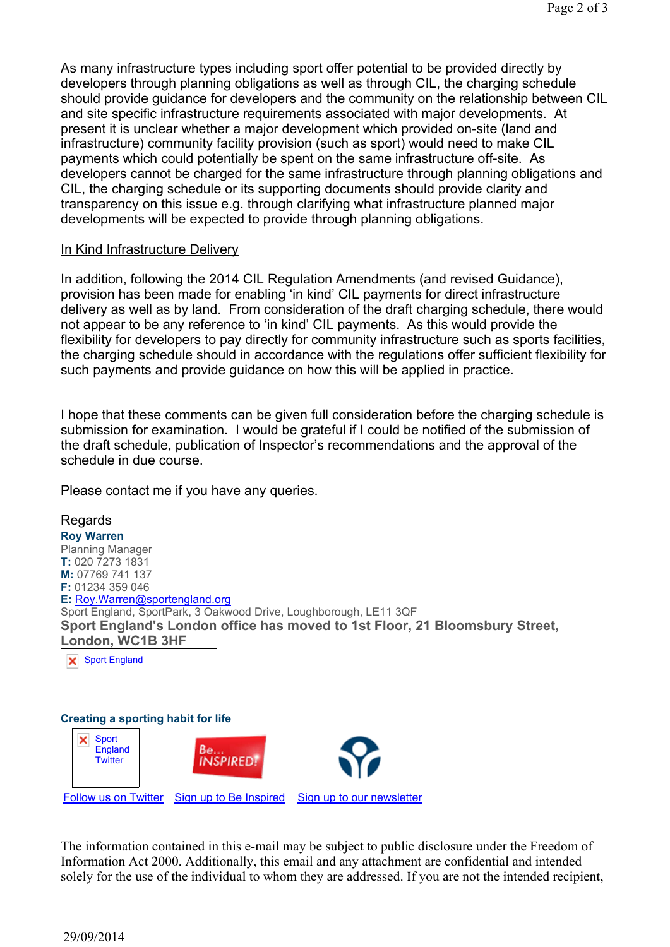As many infrastructure types including sport offer potential to be provided directly by developers through planning obligations as well as through CIL, the charging schedule should provide guidance for developers and the community on the relationship between CIL and site specific infrastructure requirements associated with major developments. At present it is unclear whether a major development which provided on-site (land and infrastructure) community facility provision (such as sport) would need to make CIL payments which could potentially be spent on the same infrastructure off-site. As developers cannot be charged for the same infrastructure through planning obligations and CIL, the charging schedule or its supporting documents should provide clarity and transparency on this issue e.g. through clarifying what infrastructure planned major developments will be expected to provide through planning obligations.

### In Kind Infrastructure Delivery

In addition, following the 2014 CIL Regulation Amendments (and revised Guidance), provision has been made for enabling 'in kind' CIL payments for direct infrastructure delivery as well as by land. From consideration of the draft charging schedule, there would not appear to be any reference to 'in kind' CIL payments. As this would provide the flexibility for developers to pay directly for community infrastructure such as sports facilities, the charging schedule should in accordance with the regulations offer sufficient flexibility for such payments and provide guidance on how this will be applied in practice.

I hope that these comments can be given full consideration before the charging schedule is submission for examination. I would be grateful if I could be notified of the submission of the draft schedule, publication of Inspector's recommendations and the approval of the schedule in due course.

Please contact me if you have any queries.



The information contained in this e-mail may be subject to public disclosure under the Freedom of Information Act 2000. Additionally, this email and any attachment are confidential and intended solely for the use of the individual to whom they are addressed. If you are not the intended recipient,